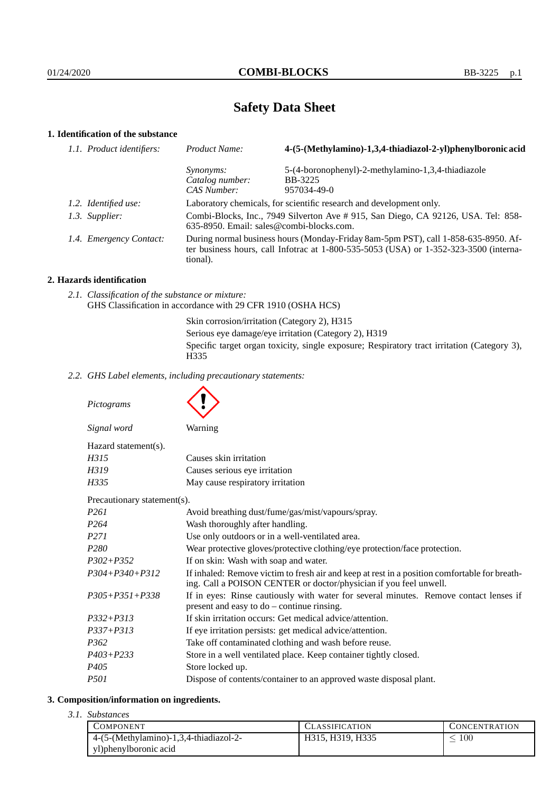# **Safety Data Sheet**

# **1. Identification of the substance**

| 1.1. Product identifiers: | Product Name:                                                                                                                                                                           | 4-(5-(Methylamino)-1,3,4-thiadiazol-2-yl)phenylboronic acid |
|---------------------------|-----------------------------------------------------------------------------------------------------------------------------------------------------------------------------------------|-------------------------------------------------------------|
|                           | <i>Synonyms:</i>                                                                                                                                                                        | 5-(4-boronophenyl)-2-methylamino-1,3,4-thiadiazole          |
|                           | Catalog number:                                                                                                                                                                         | BB-3225                                                     |
|                           | CAS Number:                                                                                                                                                                             | 957034-49-0                                                 |
| 1.2. Identified use:      | Laboratory chemicals, for scientific research and development only.                                                                                                                     |                                                             |
| 1.3. Supplier:            | Combi-Blocks, Inc., 7949 Silverton Ave # 915, San Diego, CA 92126, USA. Tel: 858-<br>635-8950. Email: sales@combi-blocks.com.                                                           |                                                             |
| 1.4. Emergency Contact:   | During normal business hours (Monday-Friday 8am-5pm PST), call 1-858-635-8950. Af-<br>ter business hours, call Infotrac at 1-800-535-5053 (USA) or 1-352-323-3500 (interna-<br>tional). |                                                             |
|                           |                                                                                                                                                                                         |                                                             |

### **2. Hazards identification**

*2.1. Classification of the substance or mixture:* GHS Classification in accordance with 29 CFR 1910 (OSHA HCS)

Skin corrosion/irritation (Category 2), H315

Serious eye damage/eye irritation (Category 2), H319

Specific target organ toxicity, single exposure; Respiratory tract irritation (Category 3), H335

*2.2. GHS Label elements, including precautionary statements:*

*Pictograms Signal word* Warning Hazard statement(s). *H315* Causes skin irritation *H319* Causes serious eve irritation *H335* May cause respiratory irritation Precautionary statement(s). *P261* Avoid breathing dust/fume/gas/mist/vapours/spray. *P264* Wash thoroughly after handling. *P271* Use only outdoors or in a well-ventilated area. *P280* Wear protective gloves/protective clothing/eye protection/face protection. *P302+P352* If on skin: Wash with soap and water. *P304+P340+P312* If inhaled: Remove victim to fresh air and keep at rest in a position comfortable for breathing. Call a POISON CENTER or doctor/physician if you feel unwell. *P305+P351+P338* If in eyes: Rinse cautiously with water for several minutes. Remove contact lenses if present and easy to do – continue rinsing. *P332+P313* If skin irritation occurs: Get medical advice/attention. *P337+P313* If eye irritation persists: get medical advice/attention. *P362* Take off contaminated clothing and wash before reuse. *P403+P233* Store in a well ventilated place. Keep container tightly closed.

# **3. Composition/information on ingredients.**

*P405* Store locked up.

*3.1. Substances*

| COMPONENT                              | <b>CLASSIFICATION</b> | CONCENTRATION |
|----------------------------------------|-----------------------|---------------|
| 4-(5-(Methylamino)-1,3,4-thiadiazol-2- | H315, H319, H335      | $100\,$       |
| yl) phenylboronic acid                 |                       |               |

*P501* Dispose of contents/container to an approved waste disposal plant.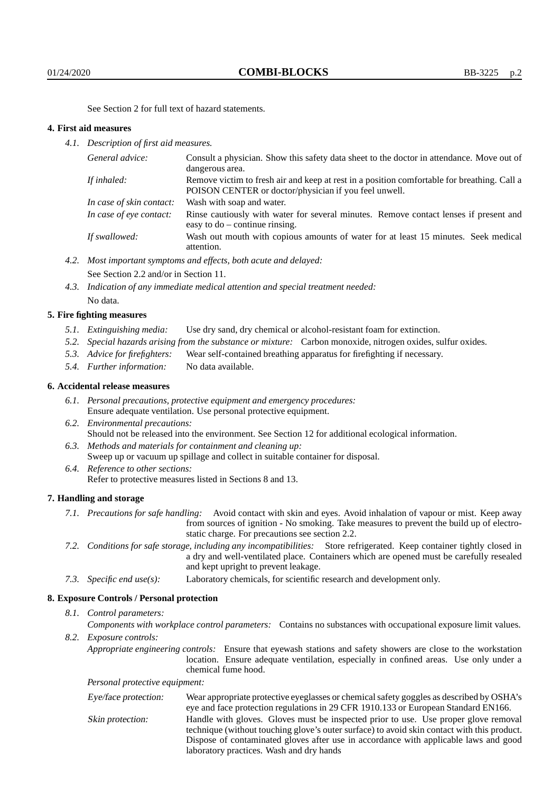See Section 2 for full text of hazard statements.

### **4. First aid measures**

*4.1. Description of first aid measures.*

| General advice:          | Consult a physician. Show this safety data sheet to the doctor in attendance. Move out of<br>dangerous area.                                         |
|--------------------------|------------------------------------------------------------------------------------------------------------------------------------------------------|
| If inhaled:              | Remove victim to fresh air and keep at rest in a position comfortable for breathing. Call a<br>POISON CENTER or doctor/physician if you feel unwell. |
| In case of skin contact: | Wash with soap and water.                                                                                                                            |
| In case of eye contact:  | Rinse cautiously with water for several minutes. Remove contact lenses if present and<br>easy to $do$ – continue rinsing.                            |
| If swallowed:            | Wash out mouth with copious amounts of water for at least 15 minutes. Seek medical<br>attention.                                                     |

- *4.2. Most important symptoms and effects, both acute and delayed:* See Section 2.2 and/or in Section 11.
- *4.3. Indication of any immediate medical attention and special treatment needed:* No data.

### **5. Fire fighting measures**

- *5.1. Extinguishing media:* Use dry sand, dry chemical or alcohol-resistant foam for extinction.
- *5.2. Special hazards arising from the substance or mixture:* Carbon monoxide, nitrogen oxides, sulfur oxides.
- *5.3. Advice for firefighters:* Wear self-contained breathing apparatus for firefighting if necessary.
- *5.4. Further information:* No data available.

# **6. Accidental release measures**

- *6.1. Personal precautions, protective equipment and emergency procedures:* Ensure adequate ventilation. Use personal protective equipment.
- *6.2. Environmental precautions:* Should not be released into the environment. See Section 12 for additional ecological information.
- *6.3. Methods and materials for containment and cleaning up:* Sweep up or vacuum up spillage and collect in suitable container for disposal.
- *6.4. Reference to other sections:* Refer to protective measures listed in Sections 8 and 13.

#### **7. Handling and storage**

- *7.1. Precautions for safe handling:* Avoid contact with skin and eyes. Avoid inhalation of vapour or mist. Keep away from sources of ignition - No smoking. Take measures to prevent the build up of electrostatic charge. For precautions see section 2.2.
- *7.2. Conditions for safe storage, including any incompatibilities:* Store refrigerated. Keep container tightly closed in a dry and well-ventilated place. Containers which are opened must be carefully resealed and kept upright to prevent leakage.
- *7.3. Specific end use(s):* Laboratory chemicals, for scientific research and development only.

# **8. Exposure Controls / Personal protection**

# *8.1. Control parameters:*

*Components with workplace control parameters:* Contains no substances with occupational exposure limit values. *8.2. Exposure controls:*

*Appropriate engineering controls:* Ensure that eyewash stations and safety showers are close to the workstation location. Ensure adequate ventilation, especially in confined areas. Use only under a chemical fume hood.

*Personal protective equipment:*

| Eye/face protection: | Wear appropriate protective eyeglasses or chemical safety goggles as described by OSHA's    |  |  |
|----------------------|---------------------------------------------------------------------------------------------|--|--|
|                      | eye and face protection regulations in 29 CFR 1910.133 or European Standard EN166.          |  |  |
| Skin protection:     | Handle with gloves. Gloves must be inspected prior to use. Use proper glove removal         |  |  |
|                      | technique (without touching glove's outer surface) to avoid skin contact with this product. |  |  |
|                      | Dispose of contaminated gloves after use in accordance with applicable laws and good        |  |  |
|                      | laboratory practices. Wash and dry hands                                                    |  |  |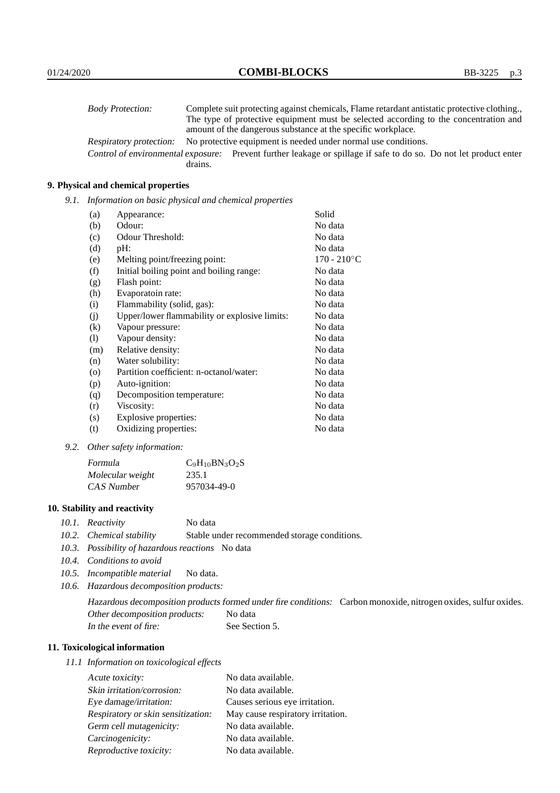| <b>Body Protection:</b> |         | Complete suit protecting against chemicals, Flame retardant antistatic protective clothing.                       |
|-------------------------|---------|-------------------------------------------------------------------------------------------------------------------|
|                         |         | The type of protective equipment must be selected according to the concentration and                              |
|                         |         | amount of the dangerous substance at the specific workplace.                                                      |
| Respiratory protection: |         | No protective equipment is needed under normal use conditions.                                                    |
|                         |         | Control of environmental exposure: Prevent further leakage or spillage if safe to do so. Do not let product enter |
|                         | drains. |                                                                                                                   |

# **9. Physical and chemical properties**

*9.1. Information on basic physical and chemical properties*

| (a)                        | Appearance:                                   | Solid          |
|----------------------------|-----------------------------------------------|----------------|
| (b)                        | Odour:                                        | No data        |
| (c)                        | Odour Threshold:                              | No data        |
| (d)                        | pH:                                           | No data        |
| (e)                        | Melting point/freezing point:                 | $170 - 210$ °C |
| (f)                        | Initial boiling point and boiling range:      | No data        |
| (g)                        | Flash point:                                  | No data        |
| (h)                        | Evaporatoin rate:                             | No data        |
| (i)                        | Flammability (solid, gas):                    | No data        |
| (i)                        | Upper/lower flammability or explosive limits: | No data        |
| $\rm(k)$                   | Vapour pressure:                              | No data        |
| $\left( \mathrm{l}\right)$ | Vapour density:                               | No data        |
| (m)                        | Relative density:                             | No data        |
| (n)                        | Water solubility:                             | No data        |
| $\circ$                    | Partition coefficient: n-octanol/water:       | No data        |
| (p)                        | Auto-ignition:                                | No data        |
| (q)                        | Decomposition temperature:                    | No data        |
| (r)                        | Viscosity:                                    | No data        |
| (s)                        | Explosive properties:                         | No data        |
| (t)                        | Oxidizing properties:                         | No data        |

*9.2. Other safety information:*

| Formula          | $C_9H_{10}BN_3O_2S$ |  |
|------------------|---------------------|--|
| Molecular weight | 235.1               |  |
| CAS Number       | 957034-49-0         |  |

# **10. Stability and reactivity**

- *10.1. Reactivity* No data
- *10.2. Chemical stability* Stable under recommended storage conditions.
- *10.3. Possibility of hazardous reactions* No data
- *10.4. Conditions to avoid*
- *10.5. Incompatible material* No data.
- *10.6. Hazardous decomposition products:*

Hazardous decomposition products formed under fire conditions: Carbon monoxide, nitrogen oxides, sulfur oxides. Other decomposition products: No data In the event of fire: See Section 5.

# **11. Toxicological information**

*11.1 Information on toxicological effects*

| Acute toxicity:                    | No data available.                |  |
|------------------------------------|-----------------------------------|--|
| Skin irritation/corrosion:         | No data available.                |  |
| Eye damage/irritation:             | Causes serious eye irritation.    |  |
| Respiratory or skin sensitization: | May cause respiratory irritation. |  |
| Germ cell mutagenicity:            | No data available.                |  |
| Carcinogenicity:                   | No data available.                |  |
| Reproductive toxicity:             | No data available.                |  |